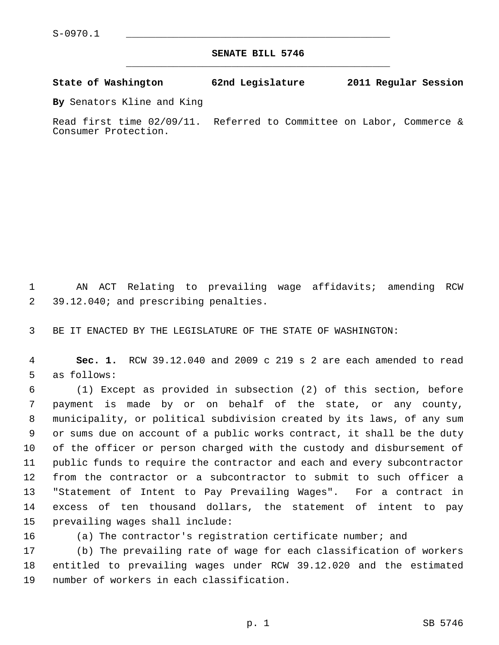**SENATE BILL 5746** \_\_\_\_\_\_\_\_\_\_\_\_\_\_\_\_\_\_\_\_\_\_\_\_\_\_\_\_\_\_\_\_\_\_\_\_\_\_\_\_\_\_\_\_\_

**State of Washington 62nd Legislature 2011 Regular Session**

**By** Senators Kline and King

Read first time 02/09/11. Referred to Committee on Labor, Commerce & Consumer Protection.

 1 AN ACT Relating to prevailing wage affidavits; amending RCW 2 39.12.040; and prescribing penalties.

3 BE IT ENACTED BY THE LEGISLATURE OF THE STATE OF WASHINGTON:

 4 **Sec. 1.** RCW 39.12.040 and 2009 c 219 s 2 are each amended to read 5 as follows:

 6 (1) Except as provided in subsection (2) of this section, before 7 payment is made by or on behalf of the state, or any county, 8 municipality, or political subdivision created by its laws, of any sum 9 or sums due on account of a public works contract, it shall be the duty 10 of the officer or person charged with the custody and disbursement of 11 public funds to require the contractor and each and every subcontractor 12 from the contractor or a subcontractor to submit to such officer a 13 "Statement of Intent to Pay Prevailing Wages". For a contract in 14 excess of ten thousand dollars, the statement of intent to pay 15 prevailing wages shall include:

16 (a) The contractor's registration certificate number; and

17 (b) The prevailing rate of wage for each classification of workers 18 entitled to prevailing wages under RCW 39.12.020 and the estimated 19 number of workers in each classification.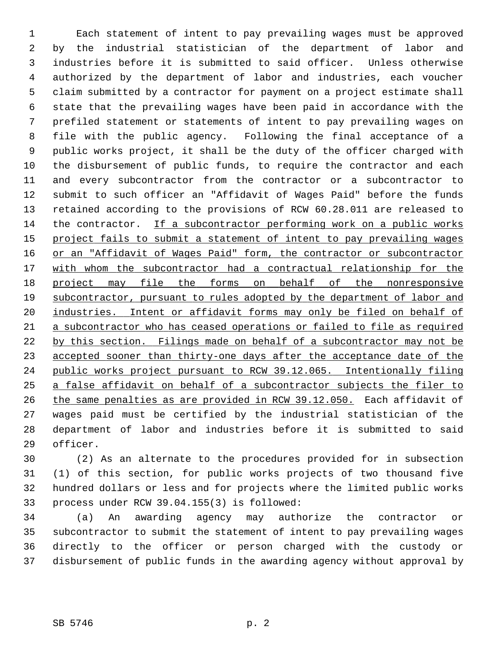1 Each statement of intent to pay prevailing wages must be approved 2 by the industrial statistician of the department of labor and 3 industries before it is submitted to said officer. Unless otherwise 4 authorized by the department of labor and industries, each voucher 5 claim submitted by a contractor for payment on a project estimate shall 6 state that the prevailing wages have been paid in accordance with the 7 prefiled statement or statements of intent to pay prevailing wages on 8 file with the public agency. Following the final acceptance of a 9 public works project, it shall be the duty of the officer charged with 10 the disbursement of public funds, to require the contractor and each 11 and every subcontractor from the contractor or a subcontractor to 12 submit to such officer an "Affidavit of Wages Paid" before the funds 13 retained according to the provisions of RCW 60.28.011 are released to 14 the contractor. If a subcontractor performing work on a public works 15 project fails to submit a statement of intent to pay prevailing wages 16 or an "Affidavit of Wages Paid" form, the contractor or subcontractor 17 with whom the subcontractor had a contractual relationship for the 18 project may file the forms on behalf of the nonresponsive 19 subcontractor, pursuant to rules adopted by the department of labor and 20 industries. Intent or affidavit forms may only be filed on behalf of 21 a subcontractor who has ceased operations or failed to file as required 22 by this section. Filings made on behalf of a subcontractor may not be 23 accepted sooner than thirty-one days after the acceptance date of the 24 public works project pursuant to RCW 39.12.065. Intentionally filing 25 a false affidavit on behalf of a subcontractor subjects the filer to 26 the same penalties as are provided in RCW 39.12.050. Each affidavit of 27 wages paid must be certified by the industrial statistician of the 28 department of labor and industries before it is submitted to said 29 officer.

30 (2) As an alternate to the procedures provided for in subsection 31 (1) of this section, for public works projects of two thousand five 32 hundred dollars or less and for projects where the limited public works 33 process under RCW 39.04.155(3) is followed:

34 (a) An awarding agency may authorize the contractor or 35 subcontractor to submit the statement of intent to pay prevailing wages 36 directly to the officer or person charged with the custody or 37 disbursement of public funds in the awarding agency without approval by